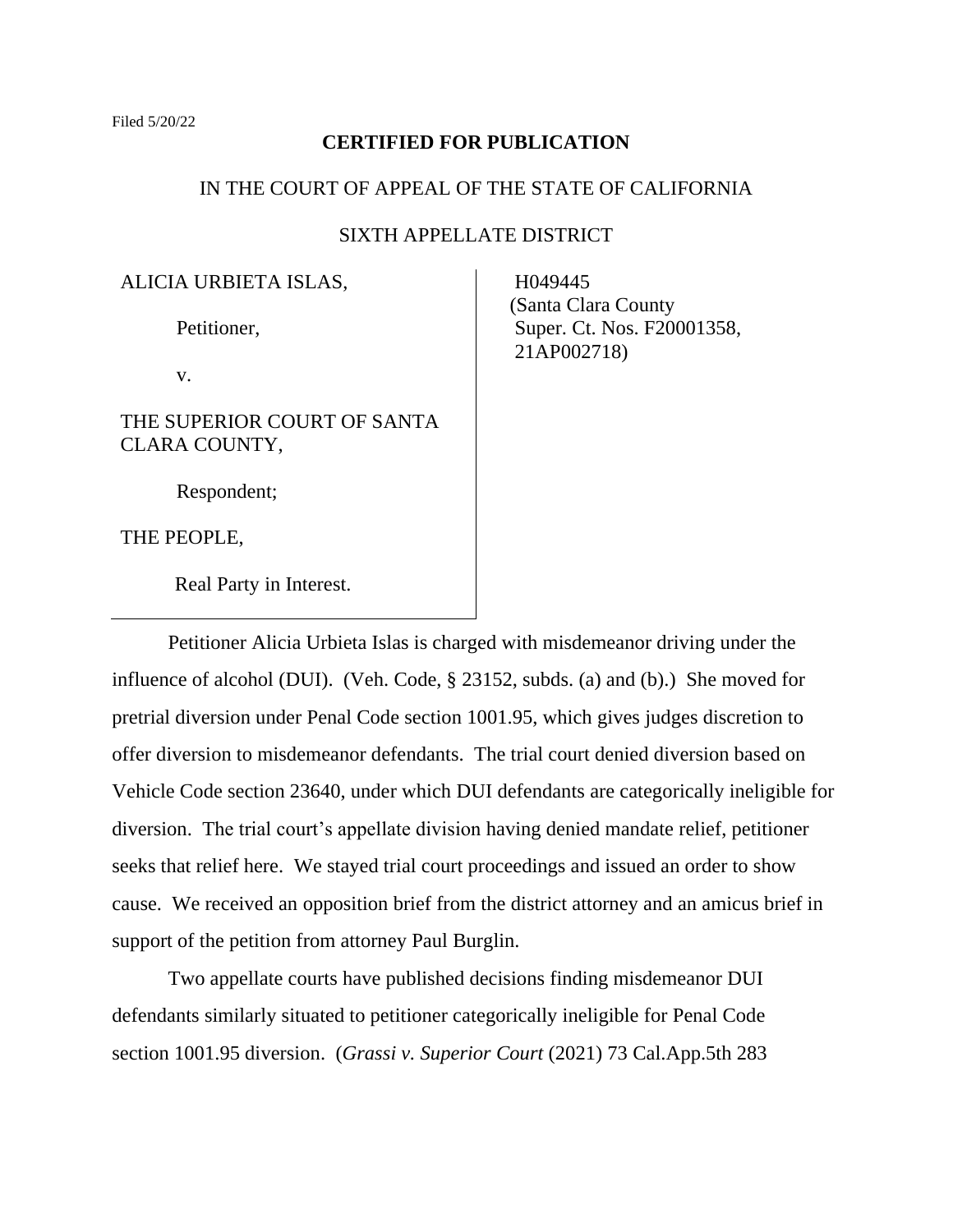## **CERTIFIED FOR PUBLICATION**

## IN THE COURT OF APPEAL OF THE STATE OF CALIFORNIA

# SIXTH APPELLATE DISTRICT

ALICIA URBIETA ISLAS,

Petitioner,

v.

THE SUPERIOR COURT OF SANTA CLARA COUNTY,

Respondent;

THE PEOPLE,

Real Party in Interest.

 H049445 (Santa Clara County Super. Ct. Nos. F20001358, 21AP002718)

Petitioner Alicia Urbieta Islas is charged with misdemeanor driving under the influence of alcohol (DUI). (Veh. Code, § 23152, subds. (a) and (b).) She moved for pretrial diversion under Penal Code section 1001.95, which gives judges discretion to offer diversion to misdemeanor defendants. The trial court denied diversion based on Vehicle Code section 23640, under which DUI defendants are categorically ineligible for diversion. The trial court's appellate division having denied mandate relief, petitioner seeks that relief here. We stayed trial court proceedings and issued an order to show cause. We received an opposition brief from the district attorney and an amicus brief in support of the petition from attorney Paul Burglin.

Two appellate courts have published decisions finding misdemeanor DUI defendants similarly situated to petitioner categorically ineligible for Penal Code section 1001.95 diversion. (*Grassi v. Superior Court* (2021) 73 Cal.App.5th 283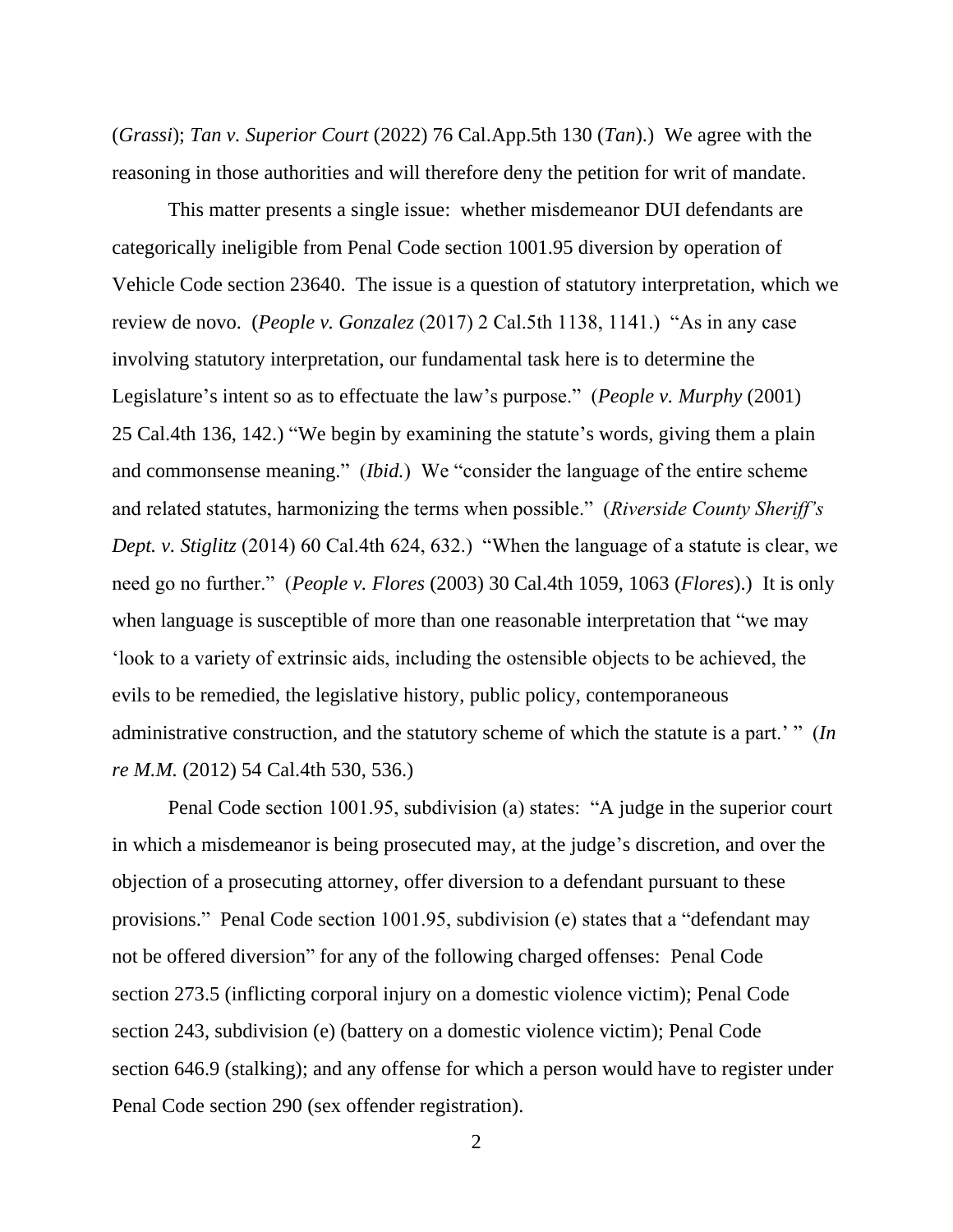(*Grassi*); *Tan v. Superior Court* (2022) 76 Cal.App.5th 130 (*Tan*).) We agree with the reasoning in those authorities and will therefore deny the petition for writ of mandate.

This matter presents a single issue: whether misdemeanor DUI defendants are categorically ineligible from Penal Code section 1001.95 diversion by operation of Vehicle Code section 23640. The issue is a question of statutory interpretation, which we review de novo. (*People v. Gonzalez* (2017) 2 Cal.5th 1138, 1141.) "As in any case involving statutory interpretation, our fundamental task here is to determine the Legislature's intent so as to effectuate the law's purpose." (*People v. Murphy* (2001) 25 Cal.4th 136, 142.) "We begin by examining the statute's words, giving them a plain and commonsense meaning." (*Ibid.*) We "consider the language of the entire scheme and related statutes, harmonizing the terms when possible." (*Riverside County Sheriff's Dept. v. Stiglitz* (2014) 60 Cal.4th 624, 632.) "When the language of a statute is clear, we need go no further." (*People v. Flores* (2003) 30 Cal.4th 1059, 1063 (*Flores*).) It is only when language is susceptible of more than one reasonable interpretation that "we may 'look to a variety of extrinsic aids, including the ostensible objects to be achieved, the evils to be remedied, the legislative history, public policy, contemporaneous administrative construction, and the statutory scheme of which the statute is a part.' " (*In re M.M.* (2012) 54 Cal.4th 530, 536.)

Penal Code section 1001.95, subdivision (a) states: "A judge in the superior court in which a misdemeanor is being prosecuted may, at the judge's discretion, and over the objection of a prosecuting attorney, offer diversion to a defendant pursuant to these provisions." Penal Code section 1001.95, subdivision (e) states that a "defendant may not be offered diversion" for any of the following charged offenses: Penal Code section 273.5 (inflicting corporal injury on a domestic violence victim); Penal Code section 243, subdivision (e) (battery on a domestic violence victim); Penal Code section 646.9 (stalking); and any offense for which a person would have to register under Penal Code section 290 (sex offender registration).

 $\mathcal{L}$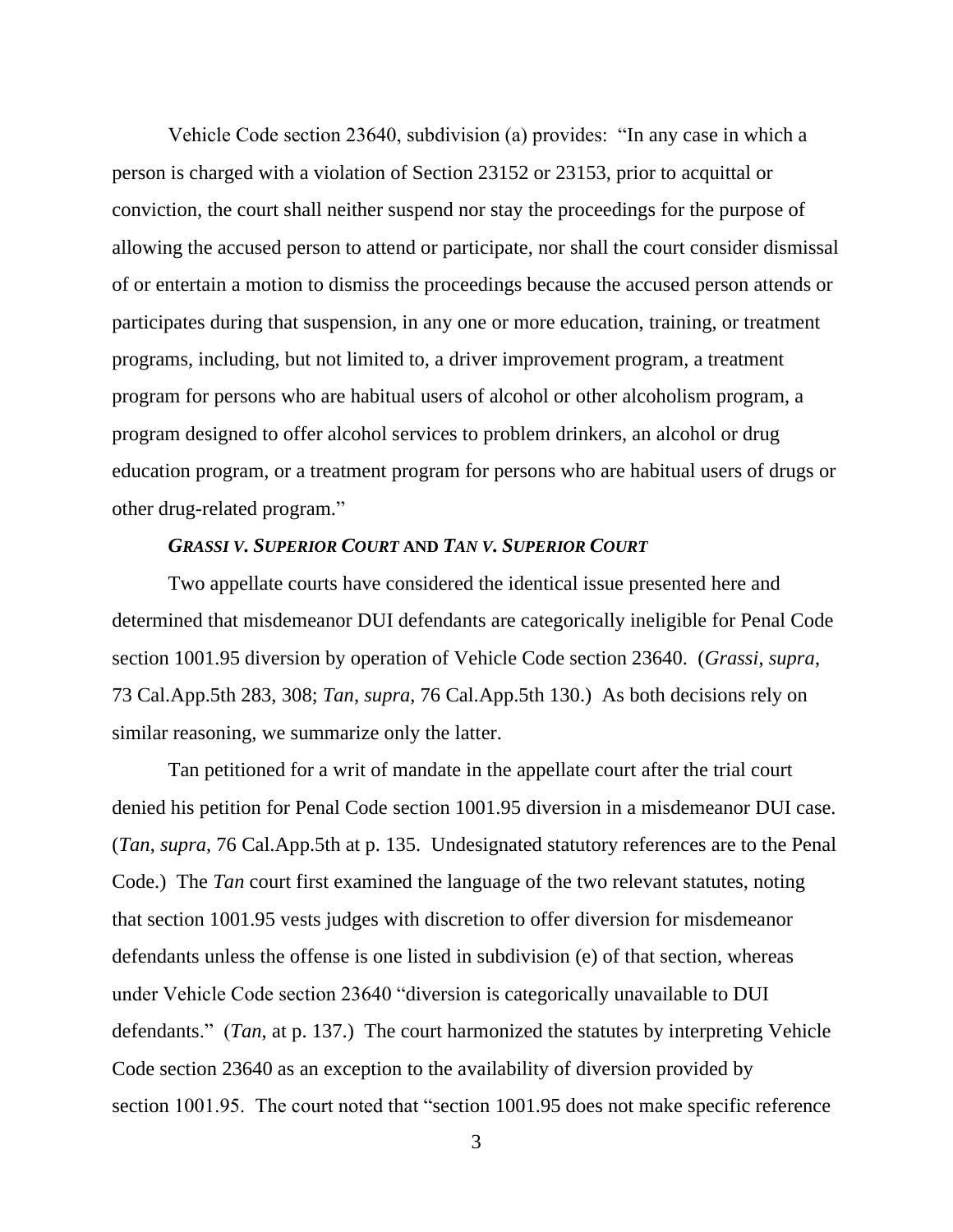Vehicle Code section 23640, subdivision (a) provides: "In any case in which a person is charged with a violation of Section 23152 or 23153, prior to acquittal or conviction, the court shall neither suspend nor stay the proceedings for the purpose of allowing the accused person to attend or participate, nor shall the court consider dismissal of or entertain a motion to dismiss the proceedings because the accused person attends or participates during that suspension, in any one or more education, training, or treatment programs, including, but not limited to, a driver improvement program, a treatment program for persons who are habitual users of alcohol or other alcoholism program, a program designed to offer alcohol services to problem drinkers, an alcohol or drug education program, or a treatment program for persons who are habitual users of drugs or other drug-related program."

#### *GRASSI V. SUPERIOR COURT* **AND** *TAN V. SUPERIOR COURT*

Two appellate courts have considered the identical issue presented here and determined that misdemeanor DUI defendants are categorically ineligible for Penal Code section 1001.95 diversion by operation of Vehicle Code section 23640. (*Grassi*, *supra*, 73 Cal.App.5th 283, 308; *Tan*, *supra*, 76 Cal.App.5th 130.) As both decisions rely on similar reasoning, we summarize only the latter.

Tan petitioned for a writ of mandate in the appellate court after the trial court denied his petition for Penal Code section 1001.95 diversion in a misdemeanor DUI case. (*Tan*, *supra*, 76 Cal.App.5th at p. 135. Undesignated statutory references are to the Penal Code.) The *Tan* court first examined the language of the two relevant statutes, noting that section 1001.95 vests judges with discretion to offer diversion for misdemeanor defendants unless the offense is one listed in subdivision (e) of that section, whereas under Vehicle Code section 23640 "diversion is categorically unavailable to DUI defendants." (*Tan*, at p. 137.) The court harmonized the statutes by interpreting Vehicle Code section 23640 as an exception to the availability of diversion provided by section 1001.95. The court noted that "section 1001.95 does not make specific reference

3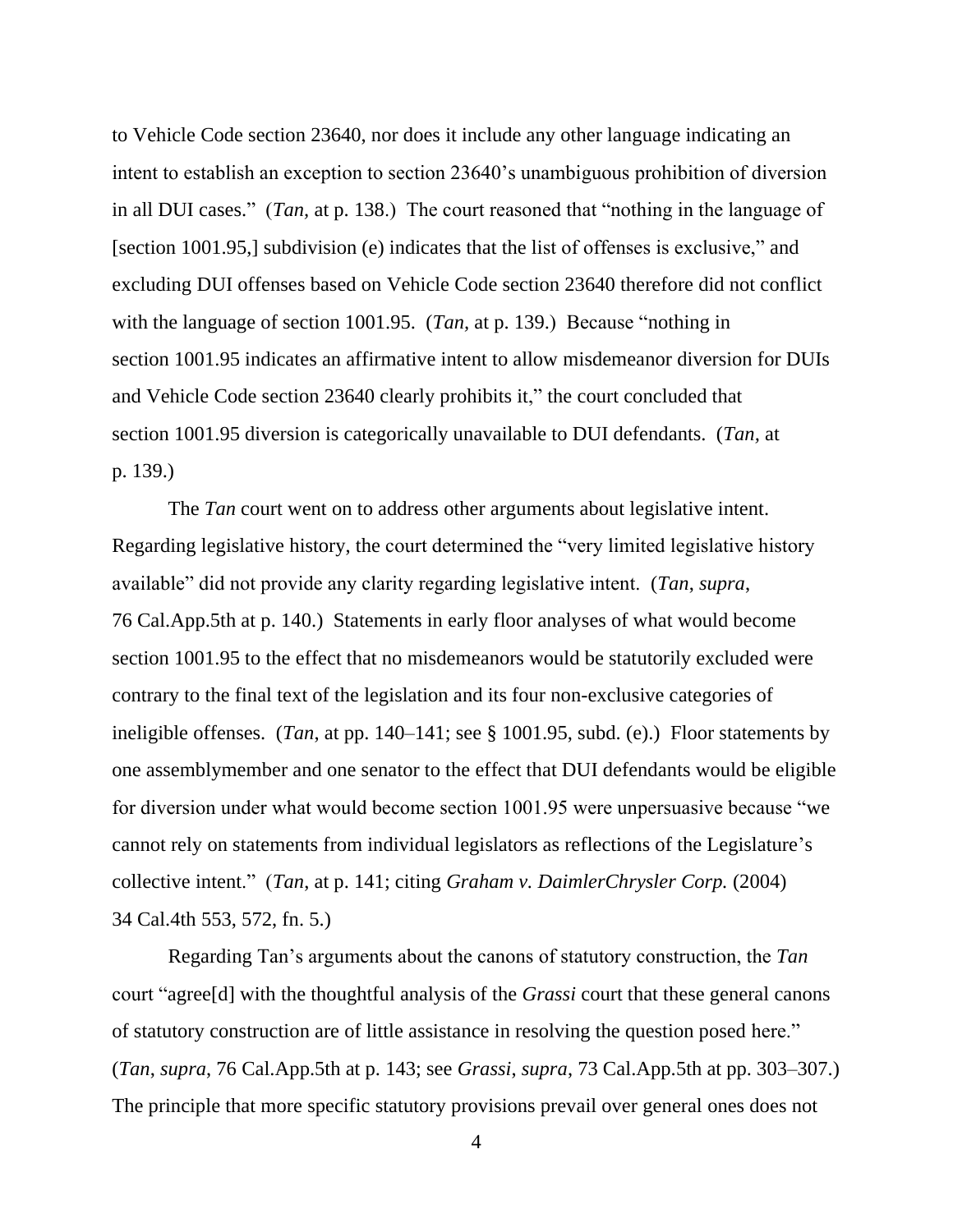to Vehicle Code section 23640, nor does it include any other language indicating an intent to establish an exception to section 23640's unambiguous prohibition of diversion in all DUI cases." (*Tan,* at p. 138.) The court reasoned that "nothing in the language of [section 1001.95,] subdivision (e) indicates that the list of offenses is exclusive," and excluding DUI offenses based on Vehicle Code section 23640 therefore did not conflict with the language of section 1001.95. (*Tan,* at p. 139.) Because "nothing in section 1001.95 indicates an affirmative intent to allow misdemeanor diversion for DUIs and Vehicle Code section 23640 clearly prohibits it," the court concluded that section 1001.95 diversion is categorically unavailable to DUI defendants. (*Tan,* at p. 139.)

The *Tan* court went on to address other arguments about legislative intent. Regarding legislative history, the court determined the "very limited legislative history available" did not provide any clarity regarding legislative intent. (*Tan*, *supra*, 76 Cal.App.5th at p. 140.) Statements in early floor analyses of what would become section 1001.95 to the effect that no misdemeanors would be statutorily excluded were contrary to the final text of the legislation and its four non-exclusive categories of ineligible offenses. (*Tan*, at pp. 140–141; see § 1001.95, subd. (e).) Floor statements by one assemblymember and one senator to the effect that DUI defendants would be eligible for diversion under what would become section 1001.95 were unpersuasive because "we cannot rely on statements from individual legislators as reflections of the Legislature's collective intent." (*Tan*, at p. 141; citing *Graham v. DaimlerChrysler Corp.* (2004) 34 Cal.4th 553, 572, fn. 5.)

Regarding Tan's arguments about the canons of statutory construction, the *Tan*  court "agree[d] with the thoughtful analysis of the *Grassi* court that these general canons of statutory construction are of little assistance in resolving the question posed here." (*Tan*, *supra*, 76 Cal.App.5th at p. 143; see *Grassi*, *supra*, 73 Cal.App.5th at pp. 303–307.) The principle that more specific statutory provisions prevail over general ones does not

4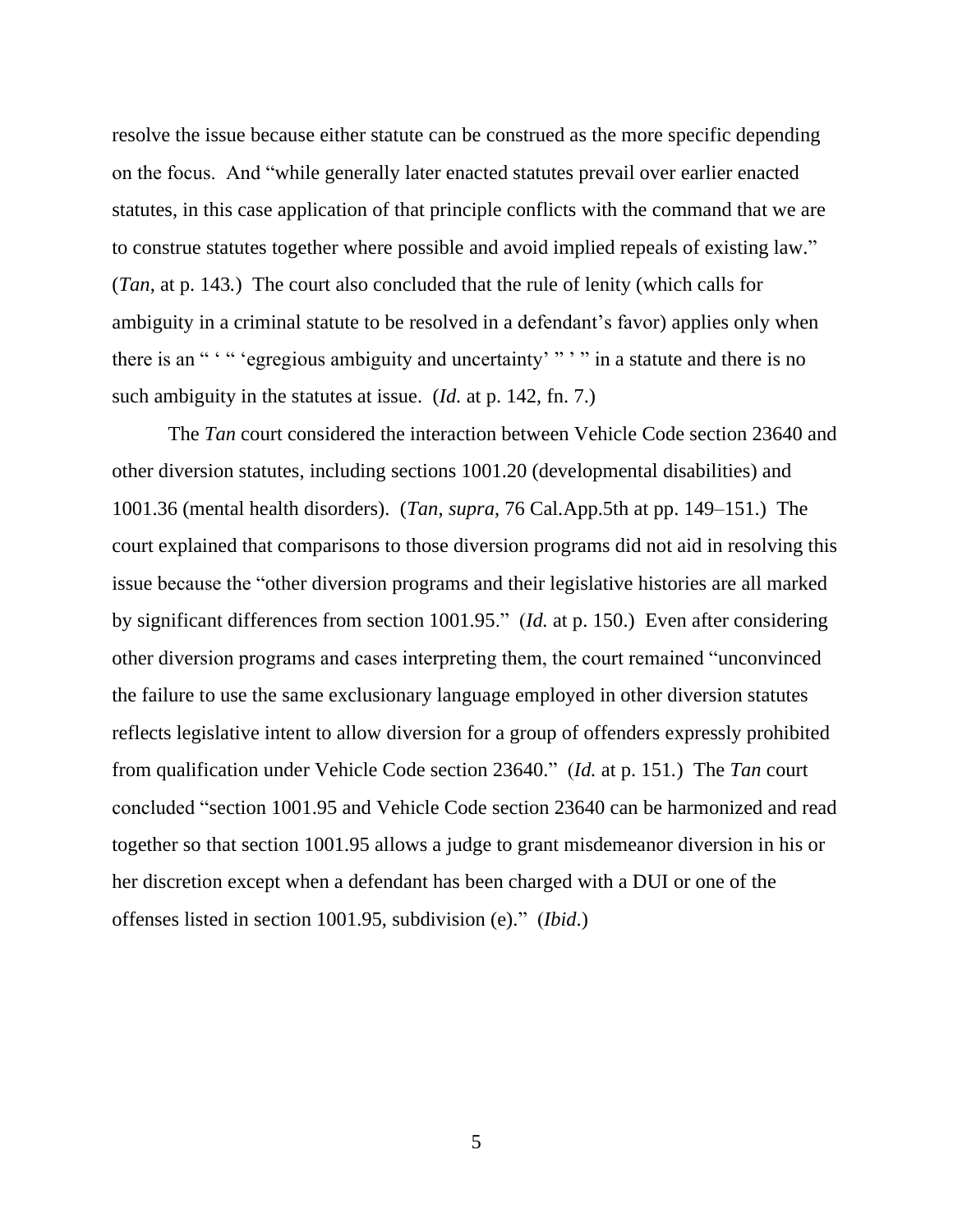resolve the issue because either statute can be construed as the more specific depending on the focus. And "while generally later enacted statutes prevail over earlier enacted statutes, in this case application of that principle conflicts with the command that we are to construe statutes together where possible and avoid implied repeals of existing law." (*Tan*, at p. 143*.*) The court also concluded that the rule of lenity (which calls for ambiguity in a criminal statute to be resolved in a defendant's favor) applies only when there is an " " " 'egregious ambiguity and uncertainty' " " " in a statute and there is no such ambiguity in the statutes at issue. (*Id.* at p. 142, fn. 7.)

The *Tan* court considered the interaction between Vehicle Code section 23640 and other diversion statutes, including sections 1001.20 (developmental disabilities) and 1001.36 (mental health disorders). (*Tan*, *supra*, 76 Cal.App.5th at pp. 149–151.) The court explained that comparisons to those diversion programs did not aid in resolving this issue because the "other diversion programs and their legislative histories are all marked by significant differences from section 1001.95." (*Id.* at p. 150.) Even after considering other diversion programs and cases interpreting them, the court remained "unconvinced the failure to use the same exclusionary language employed in other diversion statutes reflects legislative intent to allow diversion for a group of offenders expressly prohibited from qualification under Vehicle Code section 23640." (*Id.* at p. 151*.*) The *Tan* court concluded "section 1001.95 and Vehicle Code section 23640 can be harmonized and read together so that section 1001.95 allows a judge to grant misdemeanor diversion in his or her discretion except when a defendant has been charged with a DUI or one of the offenses listed in section 1001.95, subdivision (e)." (*Ibid*.)

5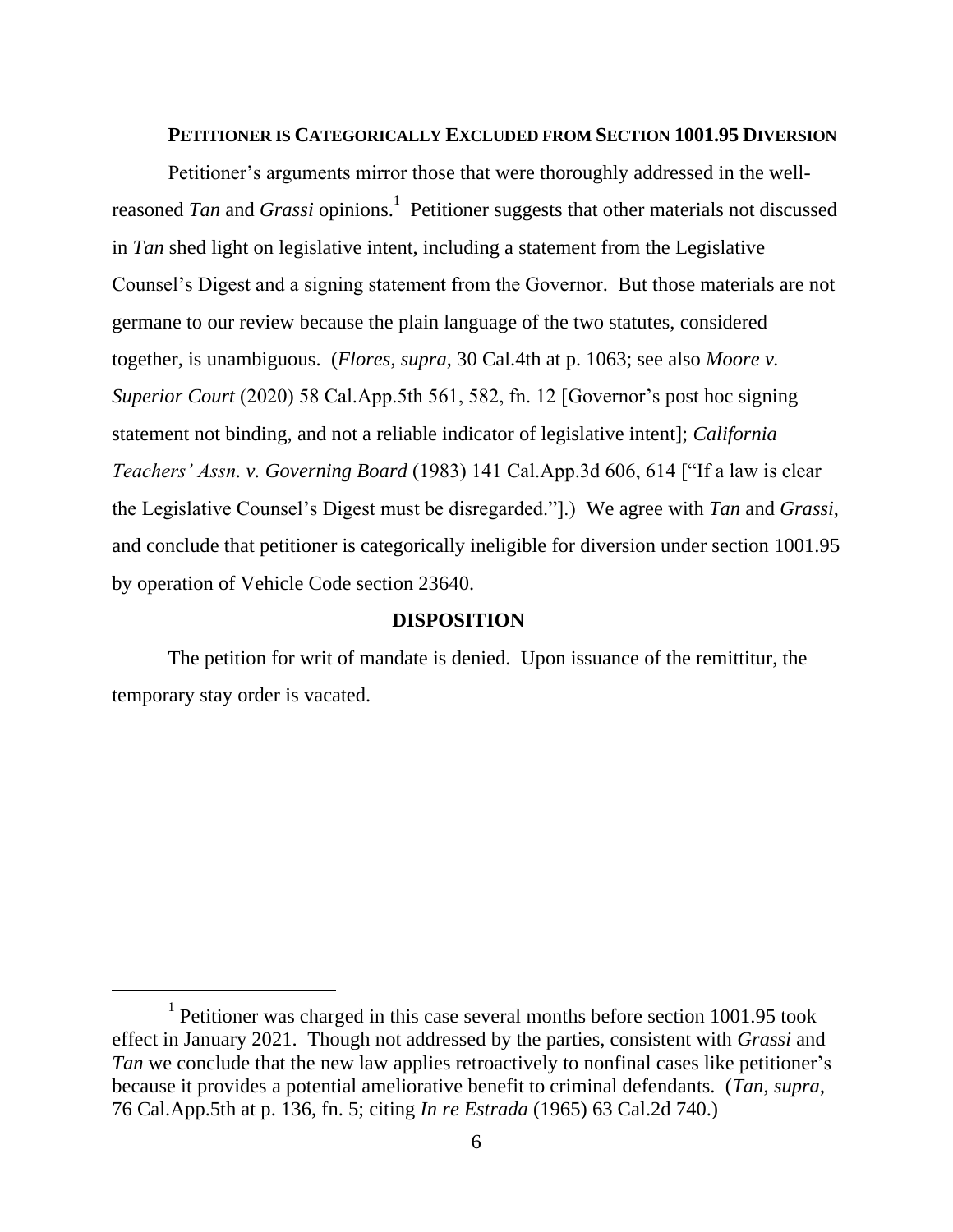#### **PETITIONER IS CATEGORICALLY EXCLUDED FROM SECTION 1001.95 DIVERSION**

Petitioner's arguments mirror those that were thoroughly addressed in the wellreasoned *Tan* and *Grassi* opinions.<sup>1</sup> Petitioner suggests that other materials not discussed in *Tan* shed light on legislative intent, including a statement from the Legislative Counsel's Digest and a signing statement from the Governor. But those materials are not germane to our review because the plain language of the two statutes, considered together, is unambiguous. (*Flores*, *supra*, 30 Cal.4th at p. 1063; see also *Moore v. Superior Court* (2020) 58 Cal.App.5th 561, 582, fn. 12 [Governor's post hoc signing statement not binding, and not a reliable indicator of legislative intent]; *California Teachers' Assn. v. Governing Board* (1983) 141 Cal.App.3d 606, 614 ["If a law is clear the Legislative Counsel's Digest must be disregarded."].) We agree with *Tan* and *Grassi*, and conclude that petitioner is categorically ineligible for diversion under section 1001.95 by operation of Vehicle Code section 23640.

### **DISPOSITION**

The petition for writ of mandate is denied. Upon issuance of the remittitur, the temporary stay order is vacated.

<sup>&</sup>lt;sup>1</sup> Petitioner was charged in this case several months before section 1001.95 took effect in January 2021. Though not addressed by the parties, consistent with *Grassi* and *Tan* we conclude that the new law applies retroactively to nonfinal cases like petitioner's because it provides a potential ameliorative benefit to criminal defendants. (*Tan*, *supra*, 76 Cal.App.5th at p. 136, fn. 5; citing *In re Estrada* (1965) 63 Cal.2d 740.)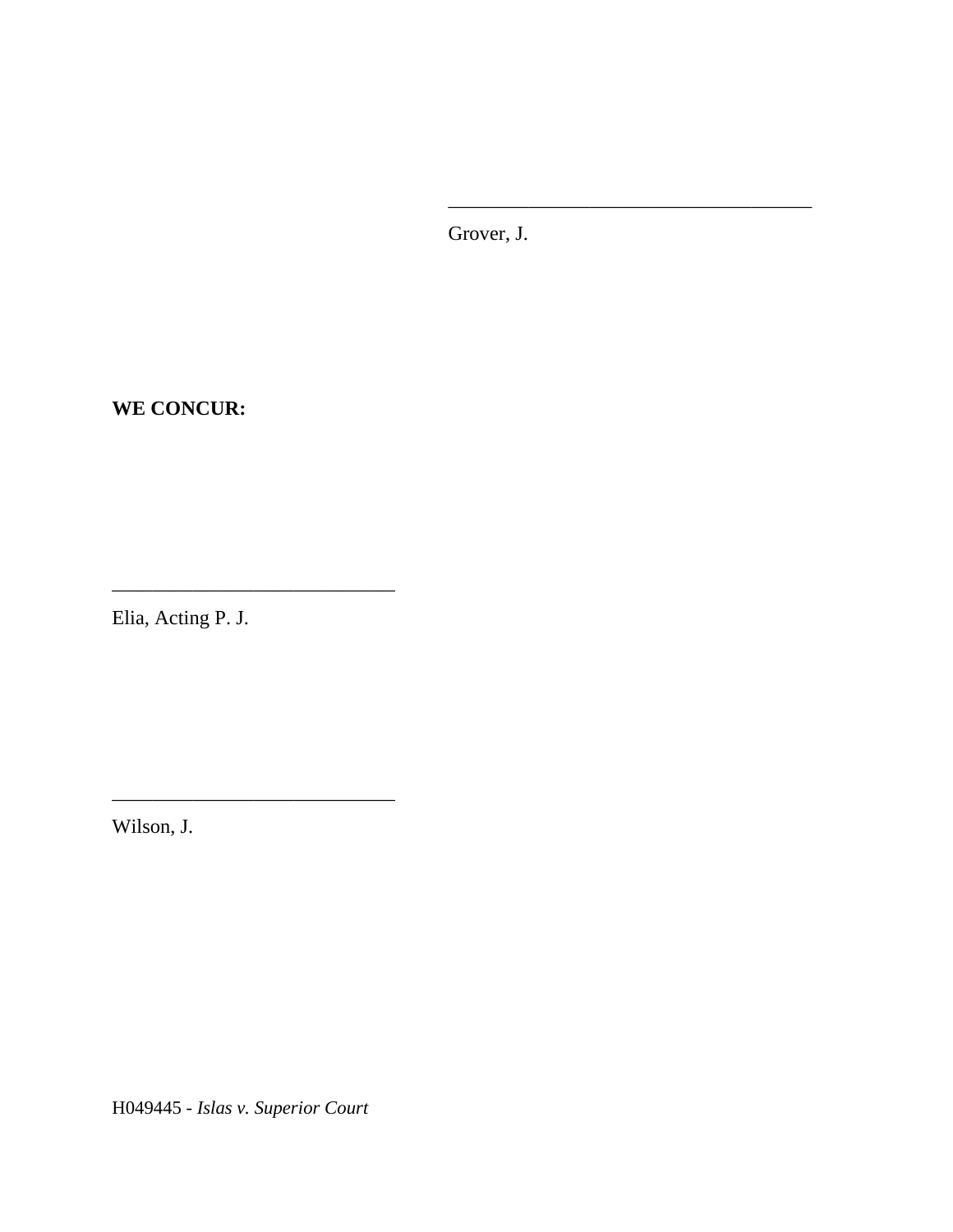Grover, J.

\_\_\_\_\_\_\_\_\_\_\_\_\_\_\_\_\_\_\_\_\_\_\_\_\_\_\_\_\_\_\_\_\_\_\_\_

**WE CONCUR:**

Elia, Acting P. J.

\_\_\_\_\_\_\_\_\_\_\_\_\_\_\_\_\_\_\_\_\_\_\_\_\_\_\_\_

\_\_\_\_\_\_\_\_\_\_\_\_\_\_\_\_\_\_\_\_\_\_\_\_\_\_\_\_

Wilson, J.

H049445 - *Islas v. Superior Court*